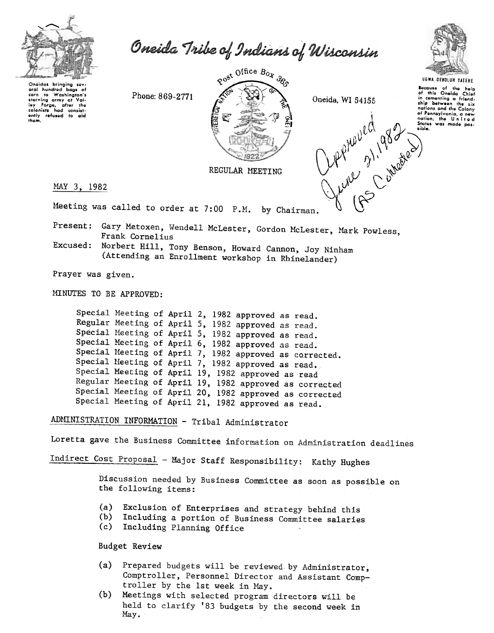

Oneida Tribe of Indians of Wisconsin

Oneidas bringing sev eral hundred bags of to Washington's corn corn to washington's<br>starving army at Vai-<br>ley Forge, after the<br>colonists had consist-<br>ently refused to aid<br>them.

Phone: 869-2771



Cuppine 31, 982 Oneida, WI 54155



UGWA DENOLUN YATEHE Bocause of the help<br>of this Oneida Chief in comenting a friend-<br>ship between the six nations and the Colony of Pennsylvania, a new

REGULAR MEETING

MAY 3, 1982

Meeting was called to order at 7:00 P.M. by Chairman.

Present: Gary Metoxen, Wendell McLester, Gordon McLester, Mark Powless, Frank Cornelius

Excused: Norbert Hill, Tony Benson, Howard Cannon, Joy Ninham (Attending an Enrollment workshop in Rhinelander)

Prayer was given.

MINUTES TO BE APPROVED:

Special Meeting of April 2, 1982 approved as read. Regular Meeting of April 5, 1982 approved as read. Special Meeting of April 5, 1982 approved as read. Special Meeting of April 6, 1982 approved as read. Special Meeting of April 7, 1982 approved as corrected. Special Meeting of April 7, 1982 approved as read. Special Meeting of April 19, 1982 approved as read Regular Meeting of April 19, 1982 approved as corrected Special Meeting of April 20, 1982 approved as corrected Special Meeting of April 21, 1982 approved as read.

ADMINISTRATION INFORMATION - Tribal Administrator

Loretta gave the Business Committee information on Administration deadlines

Indirect Cost Proposal - Major Staff Responsibility: Kathy Hughes

Discussion needed by Business Committee as soon as possible on the following items:

- Exclusion of Enterprises and strategy behind this  $(a)$
- Including a portion of Business Committee salaries  $(b)$
- Including Planning Office  $(c)$

Budget Review

- (a) Prepared budgets will be reviewed by Administrator, Comptroller, Personnel Director and Assistant Comptroller by the 1st week in May.
- (b) Meetings with selected program directors will be held to clarify '83 budgets by the second week in May.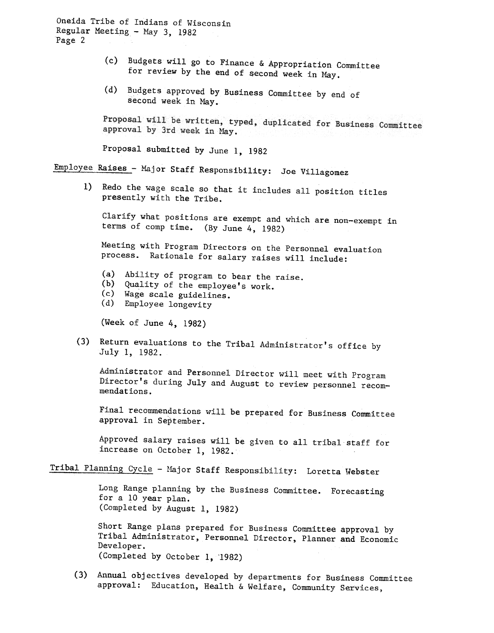Oneida Tribe of Indians of Wisconsin Regular Meeting - May  $3$ , 1982 Page 2

- $(c)$  Budgets will go to Finance & Appropriation Committee for review by the end of second week in May.
- (d) Budgets approved by Business Committee by end of second week in May.

Proposal will be written, typed, duplicated for Business Committee approval by 3rd week in May.

Proposal submitted by June I, 1982

Employee Raises- Major Staff Responsibility: Joe Villagomez

1) Redo the wage scale so that it includes all position titles presently with the Tribe.

Clarify what positions are exempt and which are non-exempt in terms of comp time. (By June 4, 1982)

Meeting with Program Directors on the Personnel evaluation process. Rationale for salary raises will include:

- (a) Ability of program to bear the rais
- (b) Quality of the employee's work
- (c) Wage scale guidelin
- (d) Employee longevi

(Week of June 4, 1982)

(3) Return evaluations to the Tribal Administrator's office by July 1, 1982.

Administrator and Personnel Director will meet with Program Director's during July and August to review personnel recommendations.

Final recommendations will be prepared for Business Committee approval in September.

Approved salary raises will be given to all tribal staff for increase on October 1, 1982.

## Tribal Planning Cycle - Major Staff Responsibility: Loretta Webster

Long Range planning by the Business Committee. Forecasting for a 10 year plan. (Completed by August 1, 1982)

Short Range plans prepared for Business Committee approval by Tribal Administrator, Personnel Director, Planner and Economic Developer. (Completed by October 1, 1982)

(3) Annual objectives developed by departments for Business Committee approval: Education, Health & Welfare, Community Services,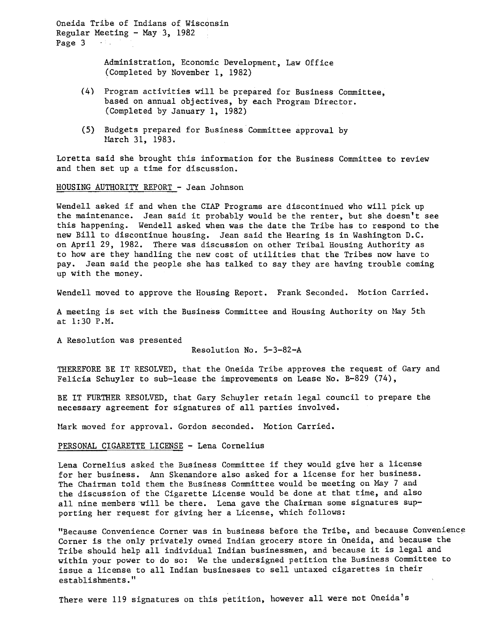Oneida Tribe of Indians of Wisconsin Regular Meeting  $-$  May 3, 1982 Page 3  $\sim 3\,$   $\pm$ 

> Administration, Economic Development, Law Office (Completed by November 1, 1982)

- (4) Program activities will be prepared for Business Committee, based on annual objectives, by each Program Director. (Completed by January 1, 1982)
- (5) Budgets prepared for Business Committee approval by March 31, 1983.

Loretta said she brought this information for the Business Committee to review and then set up a time for discussion.

## HOUSING AUTHORITY REPORT -Jean Johnson

Wendell asked if and when the ClAP Programs are discontinued who will pick up the maintenance. Jean said it probably would be the renter, but she doesn't see this happening. Wendell asked when was the date the Tribe has to respond to the new Bill to discontinue housing. Jean said the Hearing is in Washington D.C. on April 29, 1982. There was discussion on other Tribal Housing Authority as to how are they handling the new cost of utilities that the Tribes now have to pay. Jean said the people she has talked to say they are having trouble coming up with the money.

Wendell moved to approve the Housing Report. Frank Seconded. Motion Carried.

A meeting is set with the Business Committee and Housing Authority on May 5th at 1: 30 P.M.

A Resolution was presented

Resolution No. 5-3-82-A

THEREFORE BE IT RESOLVED, that the Oneida Tribe approves the request of Gary and Felicia Schuyler to sub-lease the improvements on Lease No. B-829 (74),

BE IT FURTHER RESOLVED, that Gary Schuyler retain legal council to prepare the necessary agreement for signatures of all parties involved.

Mark moved for approval. Gordon seconded. Motion Carried.

## PERSONAL CIGARETTE LICENSE - Lena Corneli

Lena Cornelius asked the Business Committee if they would give her a license for her business. Ann Skenandore also asked for a license for her business. The Chairman told them the Business Committee would be meeting on May 7 and the discussion of the Cigarette License would be done at that time, and also all nine members will be there. Lena gave the Chairman some signatures supporting her request for giving her a License, which follows:

"Because Convenience Corner was in business before the Tribe, and because Convenience Corner is the only privately owned Indian grocery store in Oneida, and because the Tribe should help all individual Indian businessmen, and because it is legal and within your power to do so: We the undersigned petition the Business Committee to issue a license to all Indian businesses to sell untaxed cigarettes in their establishments."

There were 119 signatures on this petition, however all were not Oneida's